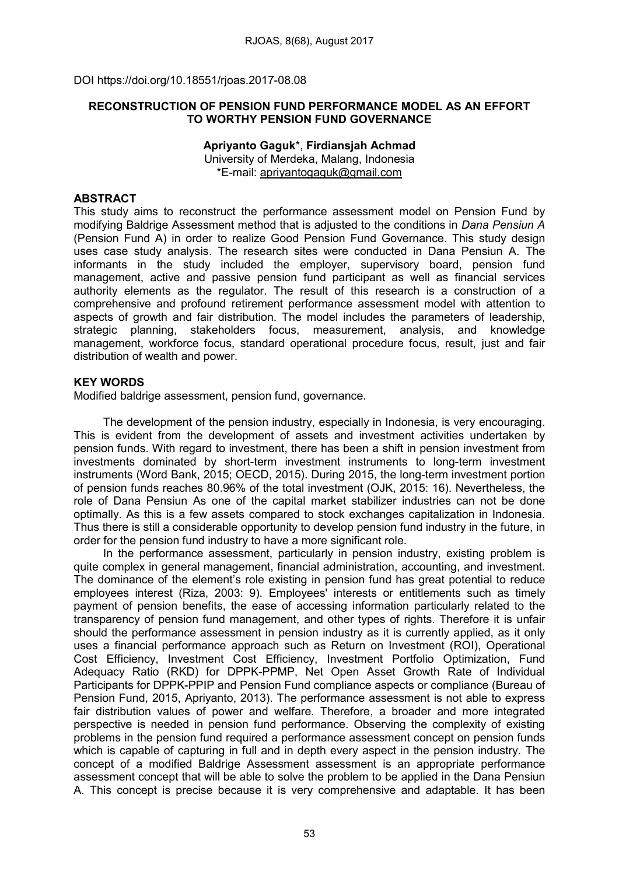DOI https://doi.org/10.18551/rjoas.2017-08.08

#### RECONSTRUCTION OF PENSION FUND PERFORMANCE MODEL AS AN EFFORT TO WORTHY PENSION FUND GOVERNANCE

#### Apriyanto Gaguk\*, Firdiansjah Achmad University of Merdeka, Malang, Indonesia \*E-mail: [apriyantogaguk@gmail.com](mailto:apriyantogaguk@gmail.com)

## **ABSTRACT**

This study aims to reconstruct the performance assessment model on Pension Fund by modifying Baldrige Assessment method that is adjusted to the conditions in *Dana Pensiun A* (Pension Fund A) in order to realize Good Pension Fund Governance. This study design uses case study analysis. The research sites were conducted in Dana Pensiun A. The informants in the study included the employer, supervisory board, pension fund management, active and passive pension fund participant as well as financial services authority elements as the regulator. The result of this research is a construction of a comprehensive and profound retirement performance assessment model with attention to aspects of growth and fair distribution. The model includes the parameters of leadership, strategic planning, stakeholders focus, measurement, analysis, and knowledge management, workforce focus, standard operational procedure focus, result, just and fair distribution of wealth and power.

#### KEY WORDS

Modified baldrige assessment, pension fund, governance.

The development of the pension industry, especially in Indonesia, is very encouraging. This is evident from the development of assets and investment activities undertaken by pension funds. With regard to investment, there has been a shift in pension investment from investments dominated by short-term investment instruments to long-term investment instruments (Word Bank, 2015; OECD, 2015). During 2015, the long-term investment portion of pension funds reaches 80.96% of the total investment (OJK, 2015: 16). Nevertheless, the role of Dana Pensiun As one of the capital market stabilizer industries can not be done optimally. As this is a few assets compared to stock exchanges capitalization in Indonesia. Thus there is still a considerable opportunity to develop pension fund industry in the future, in order for the pension fund industry to have a more significant role.

In the performance assessment, particularly in pension industry, existing problem is quite complex in general management, financial administration, accounting, and investment. The dominance of the element's role existing in pension fund has great potential to reduce employees interest (Riza, 2003: 9). Employees' interests or entitlements such as timely payment of pension benefits, the ease of accessing information particularly related to the transparency of pension fund management, and other types of rights. Therefore it is unfair should the performance assessment in pension industry as it is currently applied, as it only uses a financial performance approach such as Return on Investment (ROI), Operational Cost Efficiency, Investment Cost Efficiency, Investment Portfolio Optimization, Fund Adequacy Ratio (RKD) for DPPK-PPMP, Net Open Asset Growth Rate of Individual Participants for DPPK-PPIP and Pension Fund compliance aspects or compliance (Bureau of Pension Fund, 2015, Apriyanto, 2013). The performance assessment is not able to express fair distribution values of power and welfare. Therefore, a broader and more integrated perspective is needed in pension fund performance. Observing the complexity of existing problems in the pension fund required a performance assessment concept on pension funds which is capable of capturing in full and in depth every aspect in the pension industry. The concept of a modified Baldrige Assessment assessment is an appropriate performance assessment concept that will be able to solve the problem to be applied in the Dana Pensiun A. This concept is precise because it is very comprehensive and adaptable. It has been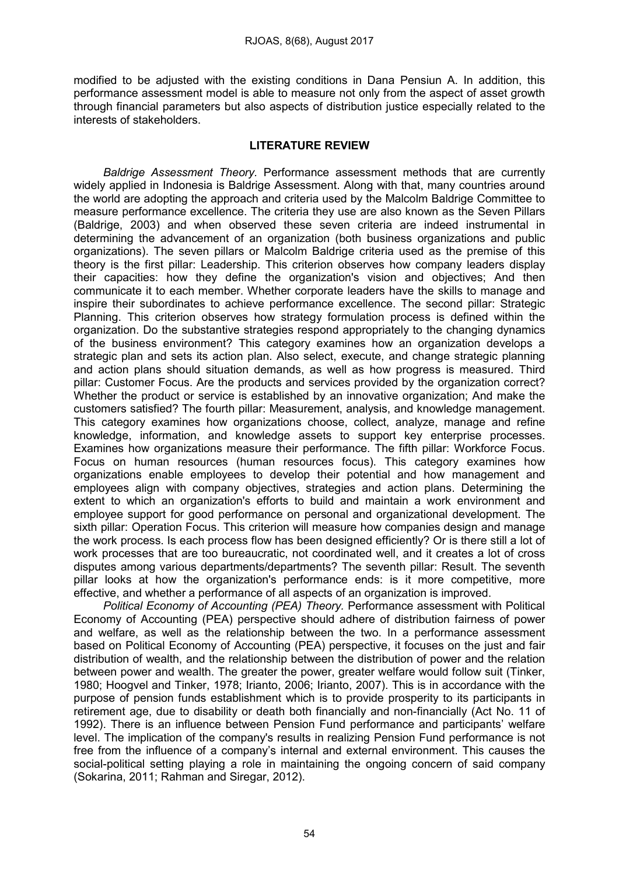modified to be adjusted with the existing conditions in Dana Pensiun A. In addition, this performance assessment model is able to measure not only from the aspect of asset growth through financial parameters but also aspects of distribution justice especially related to the interests of stakeholders.

## LITERATURE REVIEW

*Baldrige Assessment Theory.* Performance assessment methods that are currently widely applied in Indonesia is Baldrige Assessment. Along with that, many countries around the world are adopting the approach and criteria used by the Malcolm Baldrige Committee to measure performance excellence. The criteria they use are also known as the Seven Pillars (Baldrige, 2003) and when observed these seven criteria are indeed instrumental in determining the advancement of an organization (both business organizations and public organizations). The seven pillars or Malcolm Baldrige criteria used as the premise of this theory is the first pillar: Leadership. This criterion observes how company leaders display their capacities: how they define the organization's vision and objectives; And then communicate it to each member. Whether corporate leaders have the skills to manage and inspire their subordinates to achieve performance excellence. The second pillar: Strategic Planning. This criterion observes how strategy formulation process is defined within the organization. Do the substantive strategies respond appropriately to the changing dynamics of the business environment? This category examines how an organization develops a strategic plan and sets its action plan. Also select, execute, and change strategic planning and action plans should situation demands, as well as how progress is measured. Third pillar: Customer Focus. Are the products and services provided by the organization correct? Whether the product or service is established by an innovative organization; And make the customers satisfied? The fourth pillar: Measurement, analysis, and knowledge management. This category examines how organizations choose, collect, analyze, manage and refine knowledge, information, and knowledge assets to support key enterprise processes. Examines how organizations measure their performance. The fifth pillar: Workforce Focus. Focus on human resources (human resources focus). This category examines how organizations enable employees to develop their potential and how management and employees align with company objectives, strategies and action plans. Determining the extent to which an organization's efforts to build and maintain a work environment and employee support for good performance on personal and organizational development. The sixth pillar: Operation Focus. This criterion will measure how companies design and manage the work process. Is each process flow has been designed efficiently? Or is there still a lot of work processes that are too bureaucratic, not coordinated well, and it creates a lot of cross disputes among various departments/departments? The seventh pillar: Result. The seventh pillar looks at how the organization's performance ends: is it more competitive, more effective, and whether a performance of all aspects of an organization is improved.

*Political Economy of Accounting (PEA) Theory.* Performance assessment with Political Economy of Accounting (PEA) perspective should adhere of distribution fairness of power and welfare, as well as the relationship between the two. In a performance assessment based on Political Economy of Accounting (PEA) perspective, it focuses on the just and fair distribution of wealth, and the relationship between the distribution of power and the relation between power and wealth. The greater the power, greater welfare would follow suit (Tinker, 1980; Hoogvel and Tinker, 1978; Irianto, 2006; Irianto, 2007). This is in accordance with the purpose of pension funds establishment which is to provide prosperity to its participants in retirement age, due to disability or death both financially and non-financially (Act No. 11 of 1992). There is an influence between Pension Fund performance and participants' welfare level. The implication of the company's results in realizing Pension Fund performance is not free from the influence of a company's internal and external environment. This causes the social-political setting playing a role in maintaining the ongoing concern of said company (Sokarina, 2011; Rahman and Siregar, 2012).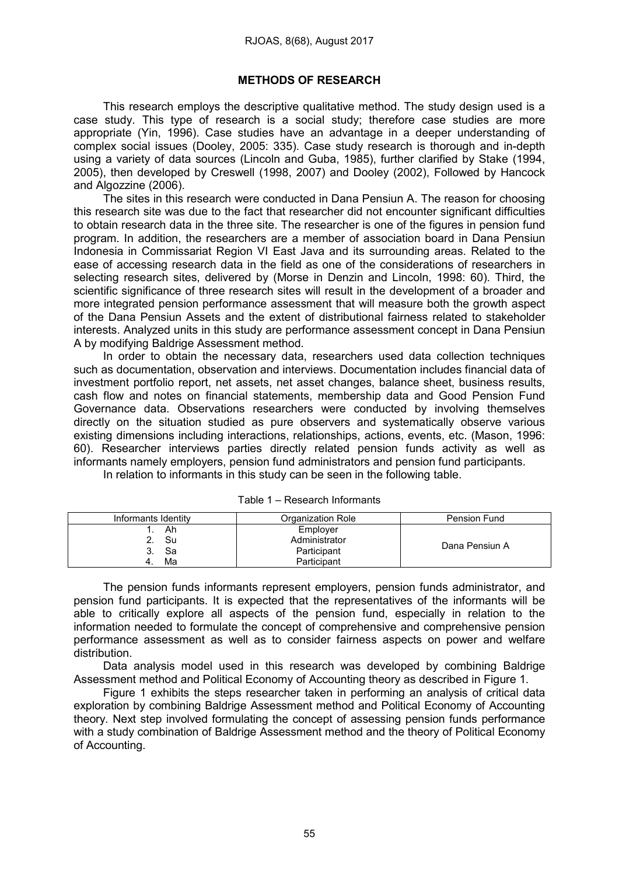#### METHODS OF RESEARCH

This research employs the descriptive qualitative method. The study design used is a case study. This type of research is a social study; therefore case studies are more appropriate (Yin, 1996). Case studies have an advantage in a deeper understanding of complex social issues (Dooley, 2005: 335). Case study research is thorough and in-depth using a variety of data sources (Lincoln and Guba, 1985), further clarified by Stake (1994, 2005), then developed by Creswell (1998, 2007) and Dooley (2002), Followed by Hancock and Algozzine (2006).

The sites in this research were conducted in Dana Pensiun A. The reason for choosing this research site was due to the fact that researcher did not encounter significant difficulties to obtain research data in the three site. The researcher is one of the figures in pension fund program. In addition, the researchers are a member of association board in Dana Pensiun Indonesia in Commissariat Region VI East Java and its surrounding areas. Related to the ease of accessing research data in the field as one of the considerations of researchers in selecting research sites, delivered by (Morse in Denzin and Lincoln, 1998: 60). Third, the scientific significance of three research sites will result in the development of a broader and more integrated pension performance assessment that will measure both the growth aspect of the Dana Pensiun Assets and the extent of distributional fairness related to stakeholder interests. Analyzed units in this study are performance assessment concept in Dana Pensiun A by modifying Baldrige Assessment method.

In order to obtain the necessary data, researchers used data collection techniques such as documentation, observation and interviews. Documentation includes financial data of investment portfolio report, net assets, net asset changes, balance sheet, business results, cash flow and notes on financial statements, membership data and Good Pension Fund Governance data. Observations researchers were conducted by involving themselves directly on the situation studied as pure observers and systematically observe various existing dimensions including interactions, relationships, actions, events, etc. (Mason, 1996: 60). Researcher interviews parties directly related pension funds activity as well as informants namely employers, pension fund administrators and pension fund participants.

In relation to informants in this study can be seen in the following table.

| Informants Identity | Organization Role | Pension Fund   |
|---------------------|-------------------|----------------|
| Ah                  | Employer          |                |
| Su                  | Administrator     |                |
| Sa                  | Participant       | Dana Pensiun A |
| Ma                  | Participant       |                |

Table 1 – Research Informants

The pension funds informants represent employers, pension funds administrator, and pension fund participants. It is expected that the representatives of the informants will be able to critically explore all aspects of the pension fund, especially in relation to the information needed to formulate the concept of comprehensive and comprehensive pension performance assessment as well as to consider fairness aspects on power and welfare distribution.

Data analysis model used in this research was developed by combining Baldrige Assessment method and Political Economy of Accounting theory as described in Figure 1.

Figure 1 exhibits the steps researcher taken in performing an analysis of critical data exploration by combining Baldrige Assessment method and Political Economy of Accounting theory. Next step involved formulating the concept of assessing pension funds performance with a study combination of Baldrige Assessment method and the theory of Political Economy of Accounting.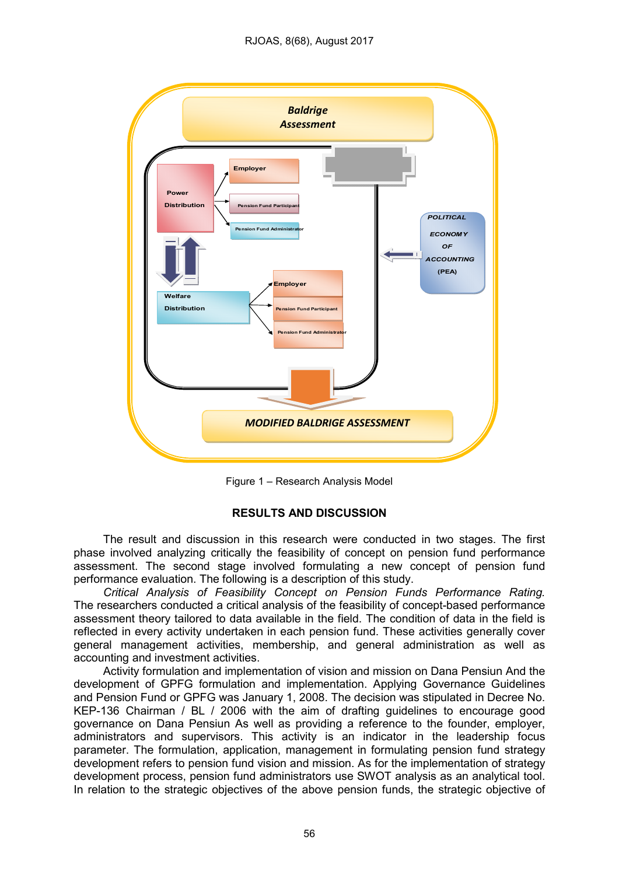

Figure 1 – Research Analysis Model

## RESULTS AND DISCUSSION

The result and discussion in this research were conducted in two stages. The first phase involved analyzing critically the feasibility of concept on pension fund performance assessment. The second stage involved formulating a new concept of pension fund performance evaluation. The following is a description of this study.

*Critical Analysis of Feasibility Concept on Pension Funds Performance Rating.*  The researchers conducted a critical analysis of the feasibility of concept-based performance assessment theory tailored to data available in the field. The condition of data in the field is reflected in every activity undertaken in each pension fund. These activities generally cover general management activities, membership, and general administration as well as accounting and investment activities.

Activity formulation and implementation of vision and mission on Dana Pensiun And the development of GPFG formulation and implementation. Applying Governance Guidelines and Pension Fund or GPFG was January 1, 2008. The decision was stipulated in Decree No. KEP-136 Chairman / BL / 2006 with the aim of drafting guidelines to encourage good governance on Dana Pensiun As well as providing a reference to the founder, employer, administrators and supervisors. This activity is an indicator in the leadership focus parameter. The formulation, application, management in formulating pension fund strategy development refers to pension fund vision and mission. As for the implementation of strategy development process, pension fund administrators use SWOT analysis as an analytical tool. In relation to the strategic objectives of the above pension funds, the strategic objective of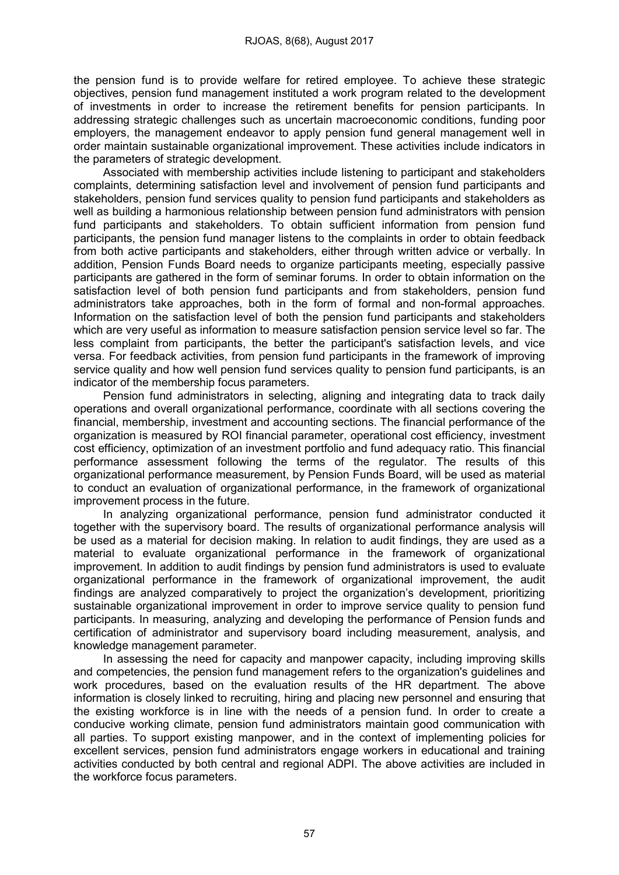the pension fund is to provide welfare for retired employee. To achieve these strategic objectives, pension fund management instituted a work program related to the development of investments in order to increase the retirement benefits for pension participants. In addressing strategic challenges such as uncertain macroeconomic conditions, funding poor employers, the management endeavor to apply pension fund general management well in order maintain sustainable organizational improvement. These activities include indicators in the parameters of strategic development.

Associated with membership activities include listening to participant and stakeholders complaints, determining satisfaction level and involvement of pension fund participants and stakeholders, pension fund services quality to pension fund participants and stakeholders as well as building a harmonious relationship between pension fund administrators with pension fund participants and stakeholders. To obtain sufficient information from pension fund participants, the pension fund manager listens to the complaints in order to obtain feedback from both active participants and stakeholders, either through written advice or verbally. In addition, Pension Funds Board needs to organize participants meeting, especially passive participants are gathered in the form of seminar forums. In order to obtain information on the satisfaction level of both pension fund participants and from stakeholders, pension fund administrators take approaches, both in the form of formal and non-formal approaches. Information on the satisfaction level of both the pension fund participants and stakeholders which are very useful as information to measure satisfaction pension service level so far. The less complaint from participants, the better the participant's satisfaction levels, and vice versa. For feedback activities, from pension fund participants in the framework of improving service quality and how well pension fund services quality to pension fund participants, is an indicator of the membership focus parameters.

Pension fund administrators in selecting, aligning and integrating data to track daily operations and overall organizational performance, coordinate with all sections covering the financial, membership, investment and accounting sections. The financial performance of the organization is measured by ROI financial parameter, operational cost efficiency, investment cost efficiency, optimization of an investment portfolio and fund adequacy ratio. This financial performance assessment following the terms of the regulator. The results of this organizational performance measurement, by Pension Funds Board, will be used as material to conduct an evaluation of organizational performance, in the framework of organizational improvement process in the future.

In analyzing organizational performance, pension fund administrator conducted it together with the supervisory board. The results of organizational performance analysis will be used as a material for decision making. In relation to audit findings, they are used as a material to evaluate organizational performance in the framework of organizational improvement. In addition to audit findings by pension fund administrators is used to evaluate organizational performance in the framework of organizational improvement, the audit findings are analyzed comparatively to project the organization's development, prioritizing sustainable organizational improvement in order to improve service quality to pension fund participants. In measuring, analyzing and developing the performance of Pension funds and certification of administrator and supervisory board including measurement, analysis, and knowledge management parameter.

In assessing the need for capacity and manpower capacity, including improving skills and competencies, the pension fund management refers to the organization's guidelines and work procedures, based on the evaluation results of the HR department. The above information is closely linked to recruiting, hiring and placing new personnel and ensuring that the existing workforce is in line with the needs of a pension fund. In order to create a conducive working climate, pension fund administrators maintain good communication with all parties. To support existing manpower, and in the context of implementing policies for excellent services, pension fund administrators engage workers in educational and training activities conducted by both central and regional ADPI. The above activities are included in the workforce focus parameters.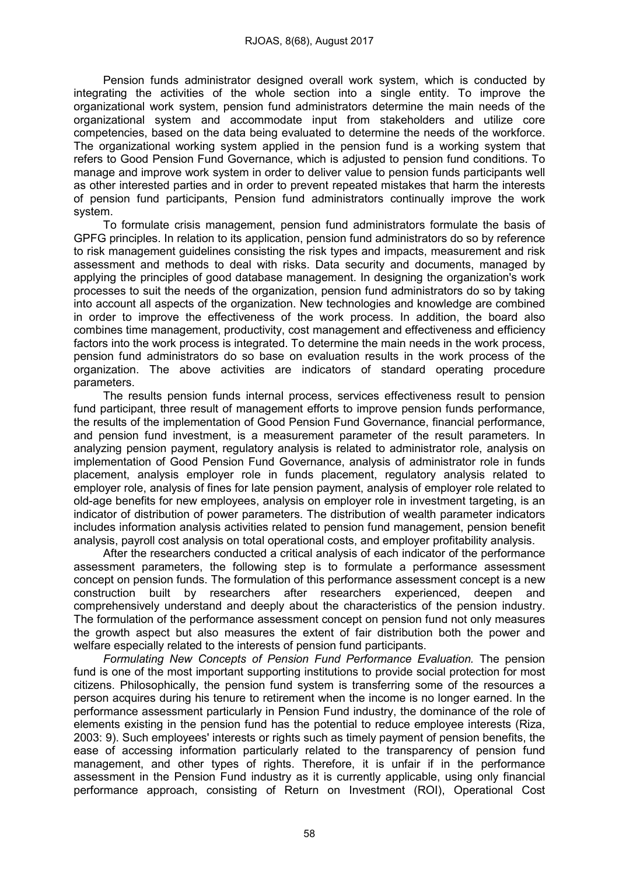Pension funds administrator designed overall work system, which is conducted by integrating the activities of the whole section into a single entity. To improve the organizational work system, pension fund administrators determine the main needs of the organizational system and accommodate input from stakeholders and utilize core competencies, based on the data being evaluated to determine the needs of the workforce. The organizational working system applied in the pension fund is a working system that refers to Good Pension Fund Governance, which is adjusted to pension fund conditions. To manage and improve work system in order to deliver value to pension funds participants well as other interested parties and in order to prevent repeated mistakes that harm the interests of pension fund participants, Pension fund administrators continually improve the work system.

To formulate crisis management, pension fund administrators formulate the basis of GPFG principles. In relation to its application, pension fund administrators do so by reference to risk management guidelines consisting the risk types and impacts, measurement and risk assessment and methods to deal with risks. Data security and documents, managed by applying the principles of good database management. In designing the organization's work processes to suit the needs of the organization, pension fund administrators do so by taking into account all aspects of the organization. New technologies and knowledge are combined in order to improve the effectiveness of the work process. In addition, the board also combines time management, productivity, cost management and effectiveness and efficiency factors into the work process is integrated. To determine the main needs in the work process, pension fund administrators do so base on evaluation results in the work process of the organization. The above activities are indicators of standard operating procedure parameters.

The results pension funds internal process, services effectiveness result to pension fund participant, three result of management efforts to improve pension funds performance, the results of the implementation of Good Pension Fund Governance, financial performance, and pension fund investment, is a measurement parameter of the result parameters. In analyzing pension payment, regulatory analysis is related to administrator role, analysis on implementation of Good Pension Fund Governance, analysis of administrator role in funds placement, analysis employer role in funds placement, regulatory analysis related to employer role, analysis of fines for late pension payment, analysis of employer role related to old-age benefits for new employees, analysis on employer role in investment targeting, is an indicator of distribution of power parameters. The distribution of wealth parameter indicators includes information analysis activities related to pension fund management, pension benefit analysis, payroll cost analysis on total operational costs, and employer profitability analysis.

After the researchers conducted a critical analysis of each indicator of the performance assessment parameters, the following step is to formulate a performance assessment concept on pension funds. The formulation of this performance assessment concept is a new construction built by researchers after researchers experienced, deepen and comprehensively understand and deeply about the characteristics of the pension industry. The formulation of the performance assessment concept on pension fund not only measures the growth aspect but also measures the extent of fair distribution both the power and welfare especially related to the interests of pension fund participants.

*Formulating New Concepts of Pension Fund Performance Evaluation.* The pension fund is one of the most important supporting institutions to provide social protection for most citizens. Philosophically, the pension fund system is transferring some of the resources a person acquires during his tenure to retirement when the income is no longer earned. In the performance assessment particularly in Pension Fund industry, the dominance of the role of elements existing in the pension fund has the potential to reduce employee interests (Riza, 2003: 9). Such employees' interests or rights such as timely payment of pension benefits, the ease of accessing information particularly related to the transparency of pension fund management, and other types of rights. Therefore, it is unfair if in the performance assessment in the Pension Fund industry as it is currently applicable, using only financial performance approach, consisting of Return on Investment (ROI), Operational Cost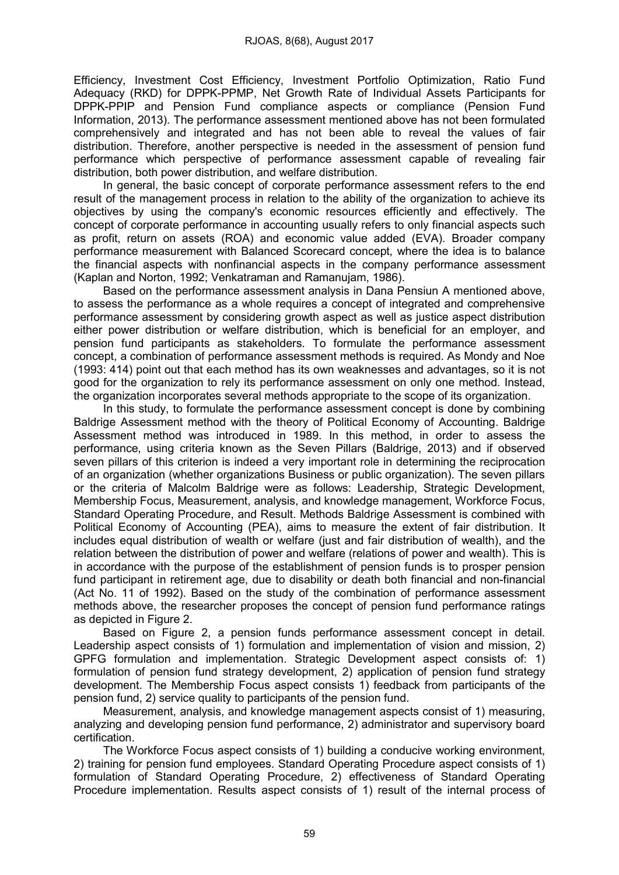Efficiency, Investment Cost Efficiency, Investment Portfolio Optimization, Ratio Fund Adequacy (RKD) for DPPK-PPMP, Net Growth Rate of Individual Assets Participants for DPPK-PPIP and Pension Fund compliance aspects or compliance (Pension Fund Information, 2013). The performance assessment mentioned above has not been formulated comprehensively and integrated and has not been able to reveal the values of fair distribution. Therefore, another perspective is needed in the assessment of pension fund performance which perspective of performance assessment capable of revealing fair distribution, both power distribution, and welfare distribution.

In general, the basic concept of corporate performance assessment refers to the end result of the management process in relation to the ability of the organization to achieve its objectives by using the company's economic resources efficiently and effectively. The concept of corporate performance in accounting usually refers to only financial aspects such as profit, return on assets (ROA) and economic value added (EVA). Broader company performance measurement with Balanced Scorecard concept, where the idea is to balance the financial aspects with nonfinancial aspects in the company performance assessment (Kaplan and Norton, 1992; Venkatraman and Ramanujam, 1986).

Based on the performance assessment analysis in Dana Pensiun A mentioned above, to assess the performance as a whole requires a concept of integrated and comprehensive performance assessment by considering growth aspect as well as justice aspect distribution either power distribution or welfare distribution, which is beneficial for an employer, and pension fund participants as stakeholders. To formulate the performance assessment concept, a combination of performance assessment methods is required. As Mondy and Noe (1993: 414) point out that each method has its own weaknesses and advantages, so it is not good for the organization to rely its performance assessment on only one method. Instead, the organization incorporates several methods appropriate to the scope of its organization.

In this study, to formulate the performance assessment concept is done by combining Baldrige Assessment method with the theory of Political Economy of Accounting. Baldrige Assessment method was introduced in 1989. In this method, in order to assess the performance, using criteria known as the Seven Pillars (Baldrige, 2013) and if observed seven pillars of this criterion is indeed a very important role in determining the reciprocation of an organization (whether organizations Business or public organization). The seven pillars or the criteria of Malcolm Baldrige were as follows: Leadership, Strategic Development, Membership Focus, Measurement, analysis, and knowledge management, Workforce Focus, Standard Operating Procedure, and Result. Methods Baldrige Assessment is combined with Political Economy of Accounting (PEA), aims to measure the extent of fair distribution. It includes equal distribution of wealth or welfare (just and fair distribution of wealth), and the relation between the distribution of power and welfare (relations of power and wealth). This is in accordance with the purpose of the establishment of pension funds is to prosper pension fund participant in retirement age, due to disability or death both financial and non-financial (Act No. 11 of 1992). Based on the study of the combination of performance assessment methods above, the researcher proposes the concept of pension fund performance ratings as depicted in Figure 2.

Based on Figure 2, a pension funds performance assessment concept in detail. Leadership aspect consists of 1) formulation and implementation of vision and mission, 2) GPFG formulation and implementation. Strategic Development aspect consists of: 1) formulation of pension fund strategy development, 2) application of pension fund strategy development. The Membership Focus aspect consists 1) feedback from participants of the pension fund, 2) service quality to participants of the pension fund.

Measurement, analysis, and knowledge management aspects consist of 1) measuring, analyzing and developing pension fund performance, 2) administrator and supervisory board certification.

The Workforce Focus aspect consists of 1) building a conducive working environment, 2) training for pension fund employees. Standard Operating Procedure aspect consists of 1) formulation of Standard Operating Procedure, 2) effectiveness of Standard Operating Procedure implementation. Results aspect consists of 1) result of the internal process of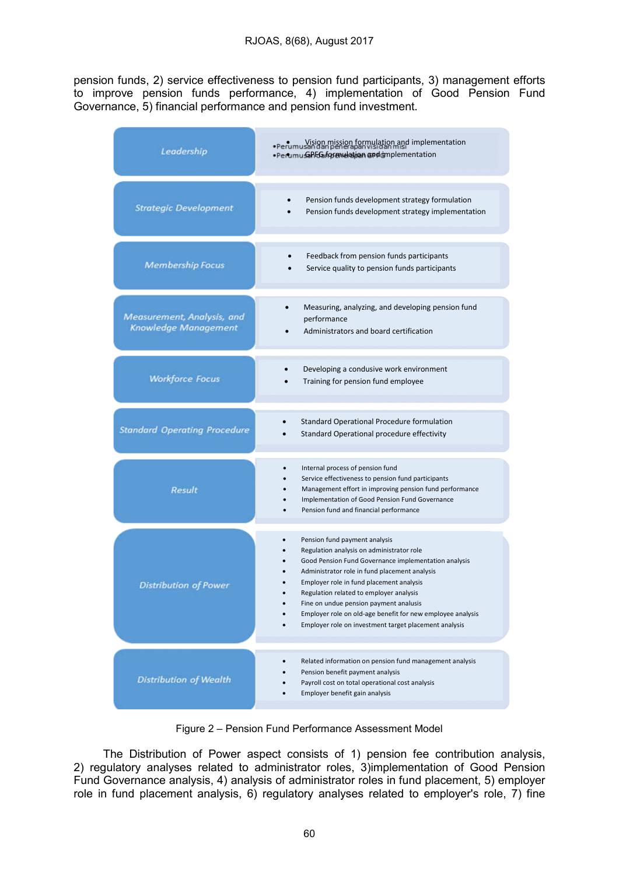pension funds, 2) service effectiveness to pension fund participants, 3) management efforts to improve pension funds performance, 4) implementation of Good Pension Fund Governance, 5) financial performance and pension fund investment.

| Leadership                                         | . Perumusangga mission formulation and implementation<br>·Perumu GPFG formulation and implementation                                                                                                                                                                                                                                                                                                                                        |  |
|----------------------------------------------------|---------------------------------------------------------------------------------------------------------------------------------------------------------------------------------------------------------------------------------------------------------------------------------------------------------------------------------------------------------------------------------------------------------------------------------------------|--|
| <b>Strategic Development</b>                       | Pension funds development strategy formulation<br>Pension funds development strategy implementation                                                                                                                                                                                                                                                                                                                                         |  |
| <b>Membership Focus</b>                            | Feedback from pension funds participants<br>Service quality to pension funds participants                                                                                                                                                                                                                                                                                                                                                   |  |
| Measurement, Analysis, and<br>Knowledge Management | Measuring, analyzing, and developing pension fund<br>performance<br>Administrators and board certification                                                                                                                                                                                                                                                                                                                                  |  |
| <b>Workforce Focus</b>                             | Developing a condusive work environment<br>Training for pension fund employee                                                                                                                                                                                                                                                                                                                                                               |  |
| <b>Standard Operating Procedure</b>                | Standard Operational Procedure formulation<br>Standard Operational procedure effectivity                                                                                                                                                                                                                                                                                                                                                    |  |
| Result                                             | Internal process of pension fund<br>Service effectiveness to pension fund participants<br>Management effort in improving pension fund performance<br>Implementation of Good Pension Fund Governance<br>Pension fund and financial performance                                                                                                                                                                                               |  |
| <b>Distribution of Power</b>                       | Pension fund payment analysis<br>Regulation analysis on administrator role<br>Good Pension Fund Governance implementation analysis<br>Administrator role in fund placement analysis<br>Employer role in fund placement analysis<br>Regulation related to employer analysis<br>Fine on undue pension payment analusis<br>Employer role on old-age benefit for new employee analysis<br>Employer role on investment target placement analysis |  |
| <b>Distribution of Wealth</b>                      | Related information on pension fund management analysis<br>Pension benefit payment analysis<br>Payroll cost on total operational cost analysis<br>Employer benefit gain analysis                                                                                                                                                                                                                                                            |  |

Figure 2 – Pension Fund Performance Assessment Model

The Distribution of Power aspect consists of 1) pension fee contribution analysis, 2) regulatory analyses related to administrator roles, 3)implementation of Good Pension Fund Governance analysis, 4) analysis of administrator roles in fund placement, 5) employer role in fund placement analysis, 6) regulatory analyses related to employer's role, 7) fine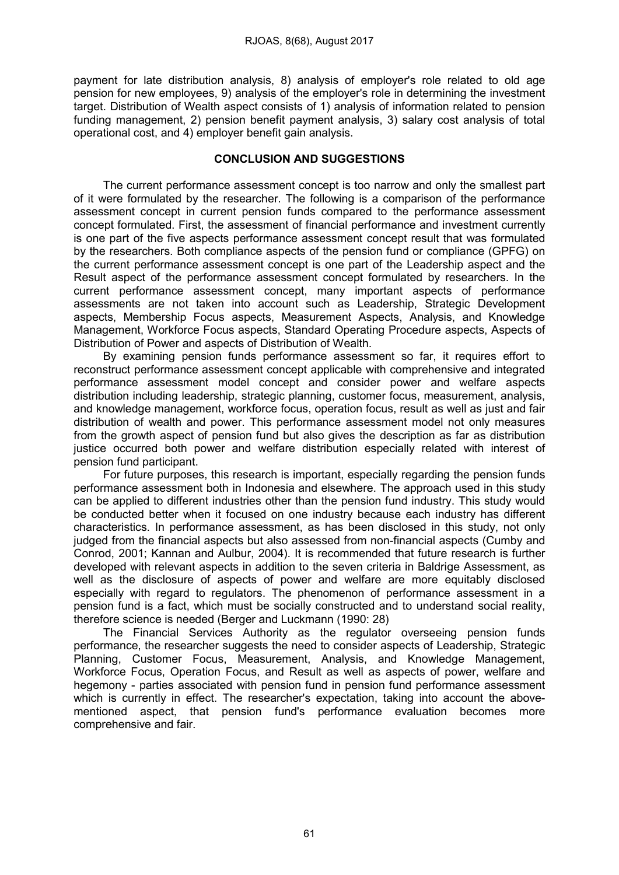payment for late distribution analysis, 8) analysis of employer's role related to old age pension for new employees, 9) analysis of the employer's role in determining the investment target. Distribution of Wealth aspect consists of 1) analysis of information related to pension funding management, 2) pension benefit payment analysis, 3) salary cost analysis of total operational cost, and 4) employer benefit gain analysis.

# CONCLUSION AND SUGGESTIONS

The current performance assessment concept is too narrow and only the smallest part of it were formulated by the researcher. The following is a comparison of the performance assessment concept in current pension funds compared to the performance assessment concept formulated. First, the assessment of financial performance and investment currently is one part of the five aspects performance assessment concept result that was formulated by the researchers. Both compliance aspects of the pension fund or compliance (GPFG) on the current performance assessment concept is one part of the Leadership aspect and the Result aspect of the performance assessment concept formulated by researchers. In the current performance assessment concept, many important aspects of performance assessments are not taken into account such as Leadership, Strategic Development aspects, Membership Focus aspects, Measurement Aspects, Analysis, and Knowledge Management, Workforce Focus aspects, Standard Operating Procedure aspects, Aspects of Distribution of Power and aspects of Distribution of Wealth.

By examining pension funds performance assessment so far, it requires effort to reconstruct performance assessment concept applicable with comprehensive and integrated performance assessment model concept and consider power and welfare aspects distribution including leadership, strategic planning, customer focus, measurement, analysis, and knowledge management, workforce focus, operation focus, result as well as just and fair distribution of wealth and power. This performance assessment model not only measures from the growth aspect of pension fund but also gives the description as far as distribution justice occurred both power and welfare distribution especially related with interest of pension fund participant.

For future purposes, this research is important, especially regarding the pension funds performance assessment both in Indonesia and elsewhere. The approach used in this study can be applied to different industries other than the pension fund industry. This study would be conducted better when it focused on one industry because each industry has different characteristics. In performance assessment, as has been disclosed in this study, not only judged from the financial aspects but also assessed from non-financial aspects (Cumby and Conrod, 2001; Kannan and Aulbur, 2004). It is recommended that future research is further developed with relevant aspects in addition to the seven criteria in Baldrige Assessment, as well as the disclosure of aspects of power and welfare are more equitably disclosed especially with regard to regulators. The phenomenon of performance assessment in a pension fund is a fact, which must be socially constructed and to understand social reality, therefore science is needed (Berger and Luckmann (1990: 28)

The Financial Services Authority as the regulator overseeing pension funds performance, the researcher suggests the need to consider aspects of Leadership, Strategic Planning, Customer Focus, Measurement, Analysis, and Knowledge Management, Workforce Focus, Operation Focus, and Result as well as aspects of power, welfare and hegemony - parties associated with pension fund in pension fund performance assessment which is currently in effect. The researcher's expectation, taking into account the abovementioned aspect, that pension fund's performance evaluation becomes more comprehensive and fair.